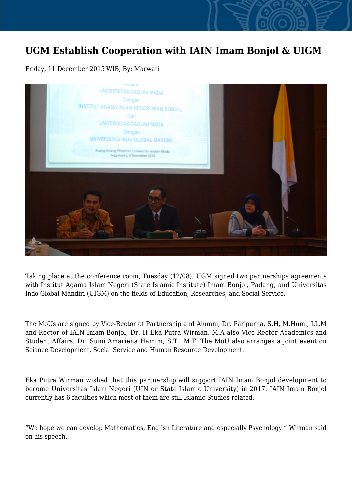## **UGM Establish Cooperation with IAIN Imam Bonjol & UIGM**

Friday, 11 December 2015 WIB, By: Marwati



Taking place at the conference room, Tuesday (12/08), UGM signed two partnerships agreements with Institut Agama Islam Negeri (State Islamic Institute) Imam Bonjol, Padang, and Universitas Indo Global Mandiri (UIGM) on the fields of Education, Researches, and Social Service.

The MoUs are signed by Vice-Rector of Partnership and Alumni, Dr. Paripurna, S.H, M.Hum., LL.M and Rector of IAIN Imam Bonjol, Dr. H Eka Putra Wirman, M.A also Vice-Rector Academics and Student Affairs, Dr. Sumi Amariena Hamim, S.T., M.T. The MoU also arranges a joint event on Science Development, Social Service and Human Resource Development.

Eka Putra Wirman wished that this partnership will support IAIN Imam Bonjol development to become Universitas Islam Negeri (UIN or State Islamic University) in 2017. IAIN Imam Bonjol currently has 6 faculties which most of them are still Islamic Studies-related.

"We hope we can develop Mathematics, English Literature and especially Psychology." Wirman said on his speech.